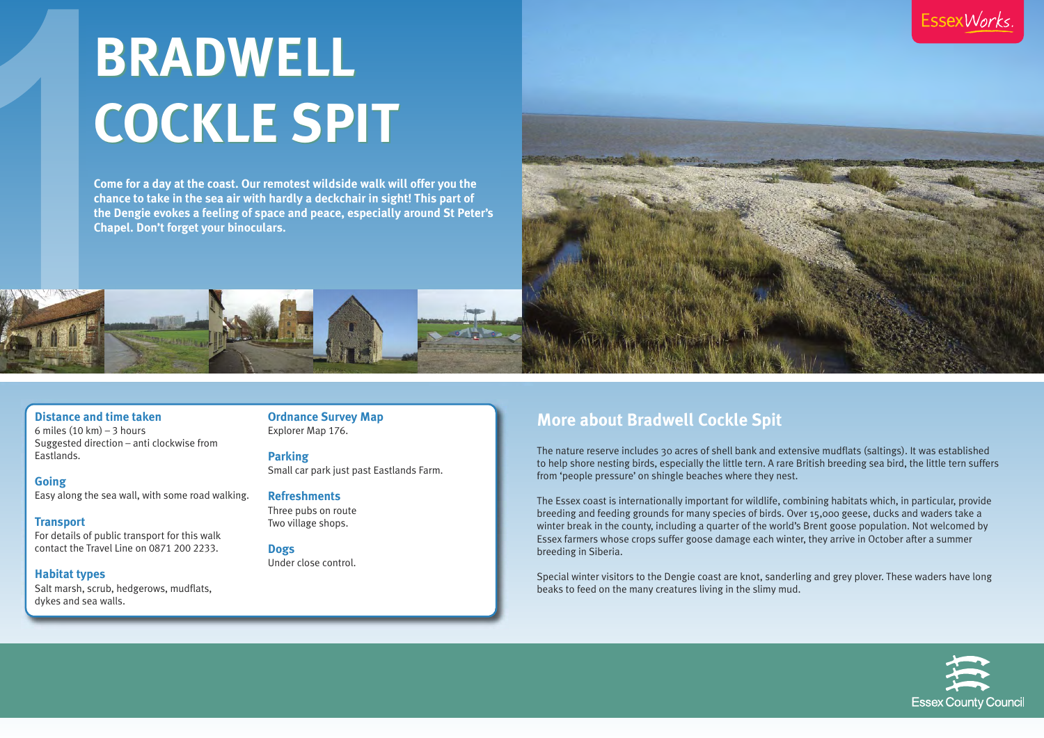**Distance and time taken** 6 miles  $(10 \text{ km}) - 3 \text{ hours}$ Suggested direction – anti clockwise from Eastlands.

**Going** Easy along the sea wall, with some road walking.

**Transport** For details of public transport for this walk contact the Travel Line on 0871 200 2233.

**Habitat types** Salt marsh, scrub, hedgerows, mudflats, dykes and sea walls.

**Ordnance Survey Map** Explorer Map 176.

**Parking** Small car park just past Eastlands Farm.

**Refreshments** Three pubs on route Two village shops.

**Dogs** Under close control.

## **More about Bradwell Cockle Spit**

The nature reserve includes 30 acres of shell bank and extensive mudflats (saltings). It was established to help shore nesting birds, especially the little tern. A rare British breeding sea bird, the little tern suffers from 'people pressure' on shingle beaches where they nest.

The Essex coast is internationally important for wildlife, combining habitats which, in particular, provide breeding and feeding grounds for many species of birds. Over 15,000 geese, ducks and waders take a winter break in the county, including a quarter of the world's Brent goose population. Not welcomed by Essex farmers whose crops suffer goose damage each winter, they arrive in October after a summer breeding in Siberia.

Special winter visitors to the Dengie coast are knot, sanderling and grey plover. These waders have long beaks to feed on the many creatures living in the slimy mud.

**EssexWorks** 



# **BRADWELL BRADWELL COCKLE SPIT COCKLE SPIT**

**Come for a day at the coast. Our remotest wildside walk will offer you the chance to take in the sea air with hardly a deckchair in sight! This part of the Dengie evokes a feeling of space and peace, especially around St Peter's Chapel. Don't forget your binoculars.**